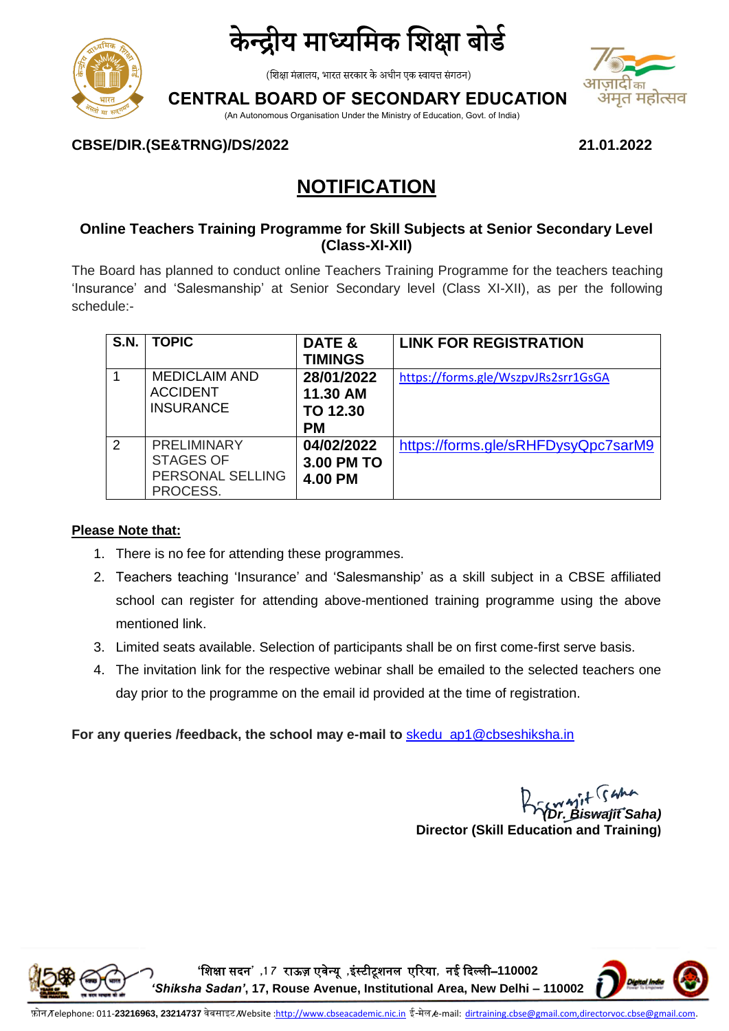



(शिक्षा मंत्रालय, भारत सरकार के अधीन एक स्वायत्त संगठन)

### **CENTRAL BOARD OF SECONDARY EDUCATION**

(An Autonomous Organisation Under the Ministry of Education, Govt. of India)



**CBSE/DIR.(SE&TRNG)/DS/2022 21.01.2022** 

## **NOTIFICATION**

#### **Online Teachers Training Programme for Skill Subjects at Senior Secondary Level (Class-XI-XII)**

The Board has planned to conduct online Teachers Training Programme for the teachers teaching 'Insurance' and 'Salesmanship' at Senior Secondary level (Class XI-XII), as per the following schedule:-

| <b>S.N.</b>   | <b>TOPIC</b>         | DATE &         | <b>LINK FOR REGISTRATION</b>        |
|---------------|----------------------|----------------|-------------------------------------|
|               |                      | <b>TIMINGS</b> |                                     |
|               | <b>MEDICLAIM AND</b> | 28/01/2022     | https://forms.gle/WszpvJRs2srr1GsGA |
|               | <b>ACCIDENT</b>      | 11.30 AM       |                                     |
|               | <b>INSURANCE</b>     | TO 12.30       |                                     |
|               |                      | <b>PM</b>      |                                     |
| $\mathcal{P}$ | <b>PRELIMINARY</b>   | 04/02/2022     | https://forms.gle/sRHFDysyQpc7sarM9 |
|               | <b>STAGES OF</b>     | 3.00 PM TO     |                                     |
|               | PERSONAL SELLING     | 4.00 PM        |                                     |
|               | PROCESS.             |                |                                     |

#### **Please Note that:**

- 1. There is no fee for attending these programmes.
- 2. Teachers teaching 'Insurance' and 'Salesmanship' as a skill subject in a CBSE affiliated school can register for attending above-mentioned training programme using the above mentioned link.
- 3. Limited seats available. Selection of participants shall be on first come-first serve basis.
- 4. The invitation link for the respective webinar shall be emailed to the selected teachers one day prior to the programme on the email id provided at the time of registration.

**For any queries /feedback, the school may e-mail to** [skedu\\_ap1@cbseshiksha.in](mailto:skedu_ap1@cbseshiksha.in)

*(Dr. Biswajit Saha)* **Director (Skill Education and Training)**